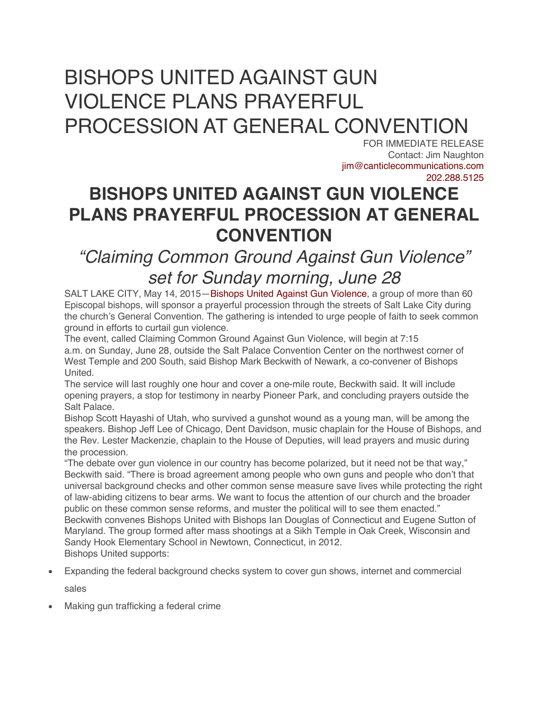## BISHOPS UNITED AGAINST GUN VIOLENCE PLANS PRAYERFUL PROCESSION AT GENERAL CONVENTION

FOR IMMEDIATE RELEASE Contact: Jim Naughton jim@canticlecommunications.com 202.288.5125

## **BISHOPS UNITED AGAINST GUN VIOLENCE PLANS PRAYERFUL PROCESSION AT GENERAL CONVENTION**

## *"Claiming Common Ground Against Gun Violence" set for Sunday morning, June 28*

SALT LAKE CITY, May 14, 2015—Bishops United Against Gun Violence, a group of more than 60 Episcopal bishops, will sponsor a prayerful procession through the streets of Salt Lake City during the church's General Convention. The gathering is intended to urge people of faith to seek common ground in efforts to curtail gun violence.

The event, called Claiming Common Ground Against Gun Violence, will begin at 7:15 a.m. on Sunday, June 28, outside the Salt Palace Convention Center on the northwest corner of West Temple and 200 South, said Bishop Mark Beckwith of Newark, a co-convener of Bishops United.

The service will last roughly one hour and cover a one-mile route, Beckwith said. It will include opening prayers, a stop for testimony in nearby Pioneer Park, and concluding prayers outside the Salt Palace.

Bishop Scott Hayashi of Utah, who survived a gunshot wound as a young man, will be among the speakers. Bishop Jeff Lee of Chicago, Dent Davidson, music chaplain for the House of Bishops, and the Rev. Lester Mackenzie, chaplain to the House of Deputies, will lead prayers and music during the procession.

"The debate over gun violence in our country has become polarized, but it need not be that way," Beckwith said. "There is broad agreement among people who own guns and people who don't that universal background checks and other common sense measure save lives while protecting the right of law-abiding citizens to bear arms. We want to focus the attention of our church and the broader public on these common sense reforms, and muster the political will to see them enacted." Beckwith convenes Bishops United with Bishops Ian Douglas of Connecticut and Eugene Sutton of Maryland. The group formed after mass shootings at a Sikh Temple in Oak Creek, Wisconsin and Sandy Hook Elementary School in Newtown, Connecticut, in 2012. Bishops United supports:

• Expanding the federal background checks system to cover gun shows, internet and commercial

sales

• Making gun trafficking a federal crime